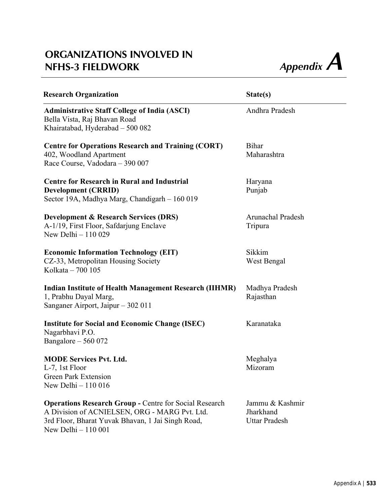## **ORGANIZATIONS INVOLVED IN Appendix A**<br> **NFHS-3 FIELDWORK** *Appendix A*



| <b>Research Organization</b>                                                                                                                                                               | State(s)                                             |
|--------------------------------------------------------------------------------------------------------------------------------------------------------------------------------------------|------------------------------------------------------|
| <b>Administrative Staff College of India (ASCI)</b><br>Bella Vista, Raj Bhavan Road<br>Khairatabad, Hyderabad - 500 082                                                                    | Andhra Pradesh                                       |
| <b>Centre for Operations Research and Training (CORT)</b><br>402, Woodland Apartment<br>Race Course, Vadodara - 390 007                                                                    | <b>Bihar</b><br>Maharashtra                          |
| <b>Centre for Research in Rural and Industrial</b><br><b>Development (CRRID)</b><br>Sector 19A, Madhya Marg, Chandigarh - 160 019                                                          | Haryana<br>Punjab                                    |
| <b>Development &amp; Research Services (DRS)</b><br>A-1/19, First Floor, Safdarjung Enclave<br>New Delhi - 110 029                                                                         | Arunachal Pradesh<br>Tripura                         |
| <b>Economic Information Technology (EIT)</b><br>CZ-33, Metropolitan Housing Society<br>Kolkata - 700 105                                                                                   | Sikkim<br>West Bengal                                |
| <b>Indian Institute of Health Management Research (IIHMR)</b><br>1, Prabhu Dayal Marg,<br>Sanganer Airport, Jaipur – 302 011                                                               | Madhya Pradesh<br>Rajasthan                          |
| <b>Institute for Social and Economic Change (ISEC)</b><br>Nagarbhavi P.O.<br>Bangalore $-560072$                                                                                           | Karanataka                                           |
| <b>MODE Services Pvt. Ltd.</b><br>L-7, 1st Floor<br><b>Green Park Extension</b><br>New Delhi - 110 016                                                                                     | Meghalya<br>Mizoram                                  |
| <b>Operations Research Group - Centre for Social Research</b><br>A Division of ACNIELSEN, ORG - MARG Pvt. Ltd.<br>3rd Floor, Bharat Yuvak Bhavan, 1 Jai Singh Road,<br>New Delhi - 110 001 | Jammu & Kashmir<br>Jharkhand<br><b>Uttar Pradesh</b> |